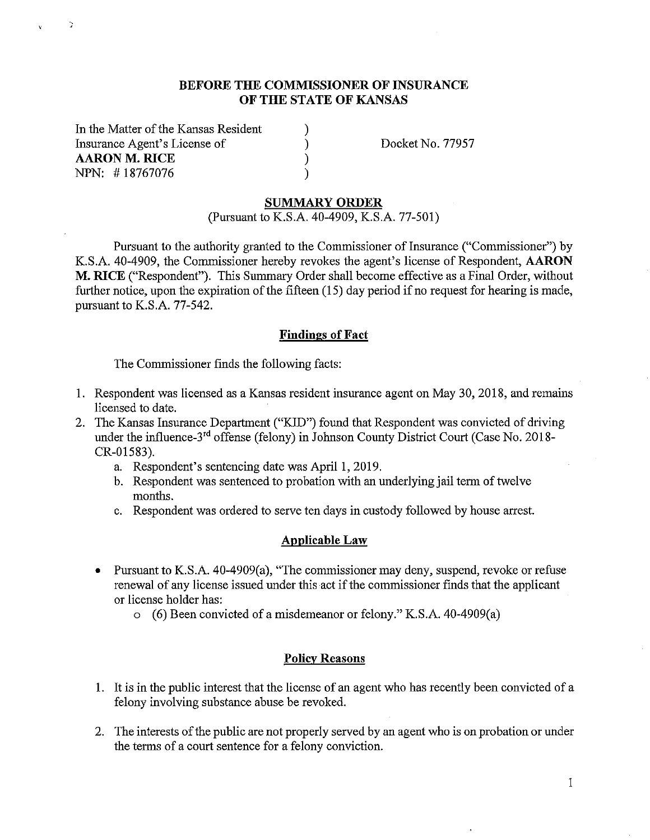## **BEFORE THE COMMISSIONER OF INSURANCE OF THE STATE OF KANSAS**

) )  $\lambda$ )

In the Matter of the Kansas Resident Insurance Agent's License of **AARON M. RICE**  NPN: # 18767076

Ž.

Docket No. 77957

### **SUMMARY ORDER**

(Pursuant to K.S.A. 40-4909, K.S.A. 77-501)

Pursuant to the authority granted to the Commissioner of Insurance ("Commissioner") by K.S.A. 40-4909, the Commissioner hereby revokes the agent's license of Respondent, **AARON M. RICE** ("Respondent"). This Summary Order shall become effective as a Final Order, without further notice, upon the expiration of the fifteen  $(15)$  day period if no request for hearing is made, pursuant to K.S.A. 77-542.

## **Findings of Fact**

The Commissioner finds the following facts:

- 1. Respondent was licensed as a Kansas resident insurance agent on May 30, 2018, and remains licensed to date.
- 2. The Kansas Insurance Department ("KID") found that Respondent was convicted of driving under the influence-3<sup>rd</sup> offense (felony) in Johnson County District Court (Case No. 2018-CR-01583).
	- a. Respondent's sentencing date was April 1, 2019.
	- b. Respondent was sentenced to probation with an underlying jail term of twelve months.
	- c. Respondent was ordered to serve ten days in custody followed by house arrest.

## **Applicable Law**

- Pursuant to K.S.A. 40-4909(a), "The commissioner may deny, suspend, revoke or refuse renewal of any license issued under this act if the commissioner finds that the applicant or license holder has:
	- o (6) Been convicted of a misdemeanor or felony." K.S.A. 40-4909(a)

#### **Policy Reasons**

- 1. It is in the public interest that the license of an agent who has recently been convicted of a felony involving substance abuse be revoked.
- 2. The interests of the public are not properly served by an agent who is on probation or under the terms of a court sentence for a felony conviction.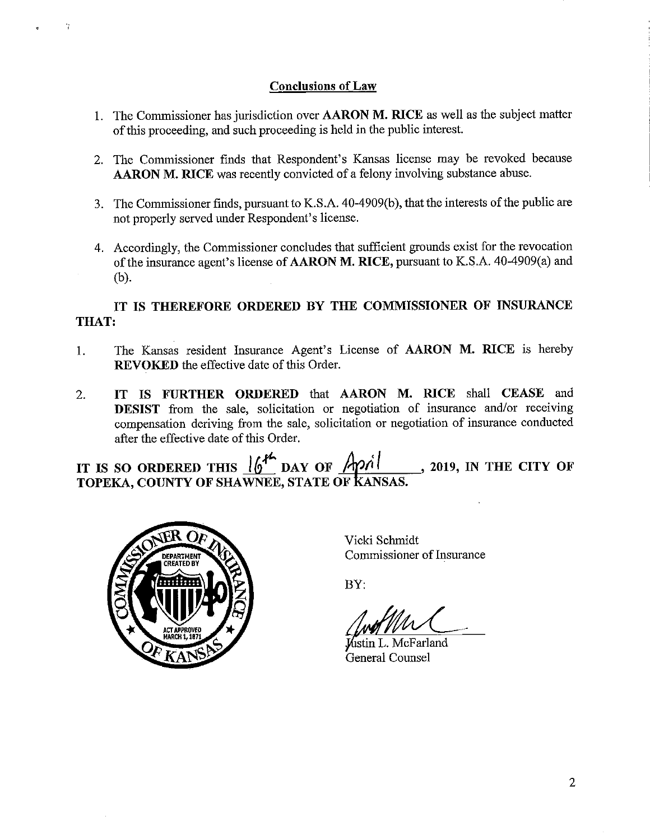# **Conclusions of Law**

- 1. The Conunissioner has jurisdiction over **AARON M. RICE** as well as the subject matter of this proceeding, and such proceeding is held in the public interest.
- 2. The Conunissioner finds that Respondent's Kansas license may be revoked because **AARON M. RICE** was recently convicted of a felony involving substance abuse.
- 3. The Commissioner finds, pursuant to K.S.A. 40-4909(b ), that the interests of the public are not properly served under Respondent's license.
- 4. Accordingly, the Commissioner concludes that sufficient grounds exist for the revocation of the insurance agent's license of **AARON M. RICE,** pursuant to K.S.A. 40-4909(a) and (b).

# **IT IS THEREFORE ORDERED BY THE COMMISSIONER OF INSURANCE THAT:**

- 1. The Kansas resident Insurance Agent's License of **AARON M. RICE** is hereby **REVOKED** the effective date of this Order.
- 2. **IT IS FURTHER ORDERED** that **AARON M. RICE** shall **CEASE** and **DESIST** from the sale, solicitation or negotiation of insurance and/or receiving compensation deriving from the sale, solicitation or negotiation of insurance conducted after the effective date of this Order.

**1T IS SO ORDERED THIS**  $\frac{16^{44} \text{ pAY of}}{400}$  **DAY OF**  $\frac{2019}{400}$ **, IN THE CITY OF TOPEKA, COUNTY OF SHAWNEE, STATE OF kANSAS.** 



÷,

Vicki Schmidt Conunissioner of Insurance

BY:

Vicki Schmidt<br>Commissioner of Insurar<br>BY:<br>Award Holder (Marchand General Counsel)

General Counsel